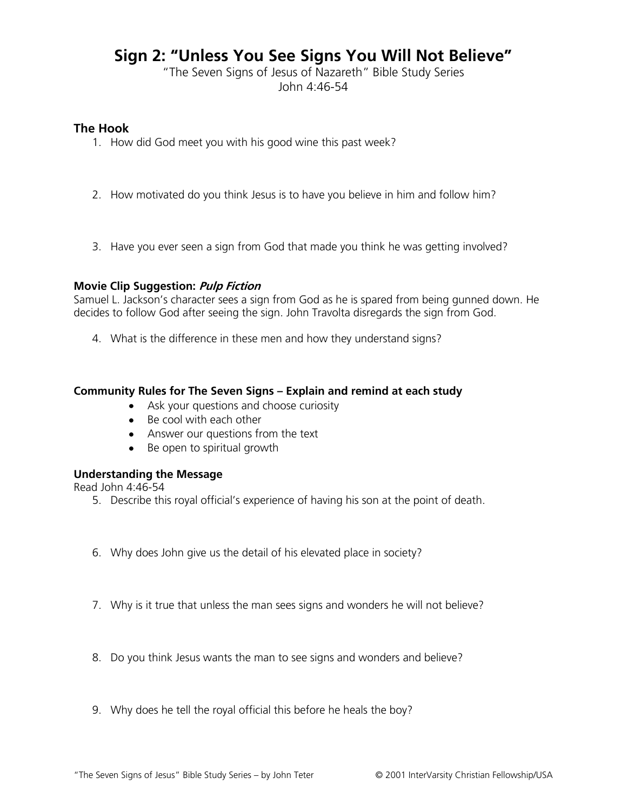# **Sign 2: "Unless You See Signs You Will Not Believe"**

"The Seven Signs of Jesus of Nazareth" Bible Study Series John 4:46-54

## **The Hook**

- 1. How did God meet you with his good wine this past week?
- 2. How motivated do you think Jesus is to have you believe in him and follow him?
- 3. Have you ever seen a sign from God that made you think he was getting involved?

#### **Movie Clip Suggestion: Pulp Fiction**

Samuel L. Jackson's character sees a sign from God as he is spared from being gunned down. He decides to follow God after seeing the sign. John Travolta disregards the sign from God.

4. What is the difference in these men and how they understand signs?

#### **Community Rules for The Seven Signs – Explain and remind at each study**

- Ask your questions and choose curiosity
- Be cool with each other
- Answer our questions from the text
- Be open to spiritual growth

## **Understanding the Message**

Read John 4:46-54

- 5. Describe this royal official's experience of having his son at the point of death.
- 6. Why does John give us the detail of his elevated place in society?
- 7. Why is it true that unless the man sees signs and wonders he will not believe?
- 8. Do you think Jesus wants the man to see signs and wonders and believe?
- 9. Why does he tell the royal official this before he heals the boy?